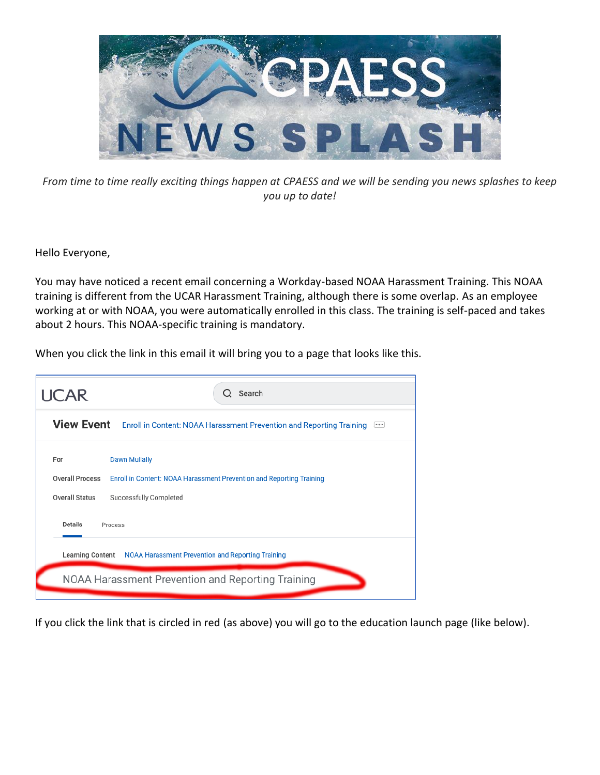

*From time to time really exciting things happen at CPAESS and we will be sending you news splashes to keep you up to date!*

Hello Everyone,

You may have noticed a recent email concerning a Workday-based NOAA Harassment Training. This NOAA training is different from the UCAR Harassment Training, although there is some overlap. As an employee working at or with NOAA, you were automatically enrolled in this class. The training is self-paced and takes about 2 hours. This NOAA-specific training is mandatory.

When you click the link in this email it will bring you to a page that looks like this.

| <b>UCAR</b>                                                                        | Search                                                                                                                 |
|------------------------------------------------------------------------------------|------------------------------------------------------------------------------------------------------------------------|
| View Event Enroll in Content: NOAA Harassment Prevention and Reporting Training [] |                                                                                                                        |
| For<br><b>Overall Process</b><br><b>Overall Status</b>                             | <b>Dawn Mullally</b><br>Enroll in Content: NOAA Harassment Prevention and Reporting Training<br>Successfully Completed |
| <b>Details</b><br>Process                                                          |                                                                                                                        |
| Learning Content NOAA Harassment Prevention and Reporting Training                 |                                                                                                                        |
| NOAA Harassment Prevention and Reporting Training                                  |                                                                                                                        |

If you click the link that is circled in red (as above) you will go to the education launch page (like below).